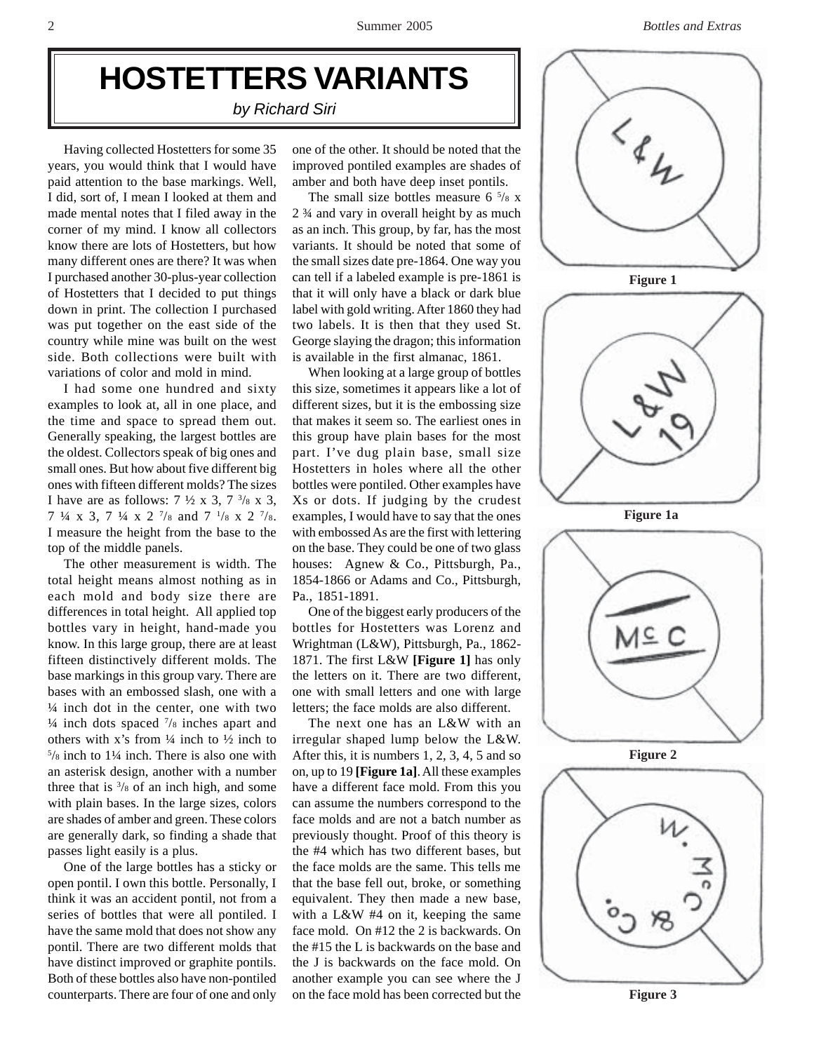## **HOSTETTERS VARIANTS**

*by Richard Siri*

Having collected Hostetters for some 35 years, you would think that I would have paid attention to the base markings. Well, I did, sort of, I mean I looked at them and made mental notes that I filed away in the corner of my mind. I know all collectors know there are lots of Hostetters, but how many different ones are there? It was when I purchased another 30-plus-year collection of Hostetters that I decided to put things down in print. The collection I purchased was put together on the east side of the country while mine was built on the west side. Both collections were built with variations of color and mold in mind.

I had some one hundred and sixty examples to look at, all in one place, and the time and space to spread them out. Generally speaking, the largest bottles are the oldest. Collectors speak of big ones and small ones. But how about five different big ones with fifteen different molds? The sizes I have are as follows:  $7 \frac{1}{2} \times 3$ ,  $7 \frac{3}{8} \times 3$ , 7  $\frac{1}{4}$  x 3, 7  $\frac{1}{4}$  x 2  $\frac{7}{8}$  and 7  $\frac{1}{8}$  x 2  $\frac{7}{8}$ . I measure the height from the base to the top of the middle panels.

The other measurement is width. The total height means almost nothing as in each mold and body size there are differences in total height. All applied top bottles vary in height, hand-made you know. In this large group, there are at least fifteen distinctively different molds. The base markings in this group vary. There are bases with an embossed slash, one with a ¼ inch dot in the center, one with two  $\frac{1}{4}$  inch dots spaced  $\frac{7}{8}$  inches apart and others with x's from  $\frac{1}{4}$  inch to  $\frac{1}{2}$  inch to 5 /8 inch to 1¼ inch. There is also one with an asterisk design, another with a number three that is  $\frac{3}{8}$  of an inch high, and some with plain bases. In the large sizes, colors are shades of amber and green. These colors are generally dark, so finding a shade that passes light easily is a plus.

One of the large bottles has a sticky or open pontil. I own this bottle. Personally, I think it was an accident pontil, not from a series of bottles that were all pontiled. I have the same mold that does not show any pontil. There are two different molds that have distinct improved or graphite pontils. Both of these bottles also have non-pontiled counterparts. There are four of one and only

one of the other. It should be noted that the improved pontiled examples are shades of amber and both have deep inset pontils.

The small size bottles measure  $6\frac{5}{8}$  x 2 ¾ and vary in overall height by as much as an inch. This group, by far, has the most variants. It should be noted that some of the small sizes date pre-1864. One way you can tell if a labeled example is pre-1861 is that it will only have a black or dark blue label with gold writing. After 1860 they had two labels. It is then that they used St. George slaying the dragon; this information is available in the first almanac, 1861.

When looking at a large group of bottles this size, sometimes it appears like a lot of different sizes, but it is the embossing size that makes it seem so. The earliest ones in this group have plain bases for the most part. I've dug plain base, small size Hostetters in holes where all the other bottles were pontiled. Other examples have Xs or dots. If judging by the crudest examples, I would have to say that the ones with embossed As are the first with lettering on the base. They could be one of two glass houses: Agnew & Co., Pittsburgh, Pa., 1854-1866 or Adams and Co., Pittsburgh, Pa., 1851-1891.

One of the biggest early producers of the bottles for Hostetters was Lorenz and Wrightman (L&W), Pittsburgh, Pa., 1862- 1871. The first L&W **[Figure 1]** has only the letters on it. There are two different, one with small letters and one with large letters; the face molds are also different.

The next one has an L&W with an irregular shaped lump below the L&W. After this, it is numbers 1, 2, 3, 4, 5 and so on, up to 19 **[Figure 1a]**. All these examples have a different face mold. From this you can assume the numbers correspond to the face molds and are not a batch number as previously thought. Proof of this theory is the #4 which has two different bases, but the face molds are the same. This tells me that the base fell out, broke, or something equivalent. They then made a new base, with a L&W #4 on it, keeping the same face mold. On #12 the 2 is backwards. On the #15 the L is backwards on the base and the J is backwards on the face mold. On another example you can see where the J on the face mold has been corrected but the





 **Figure 3**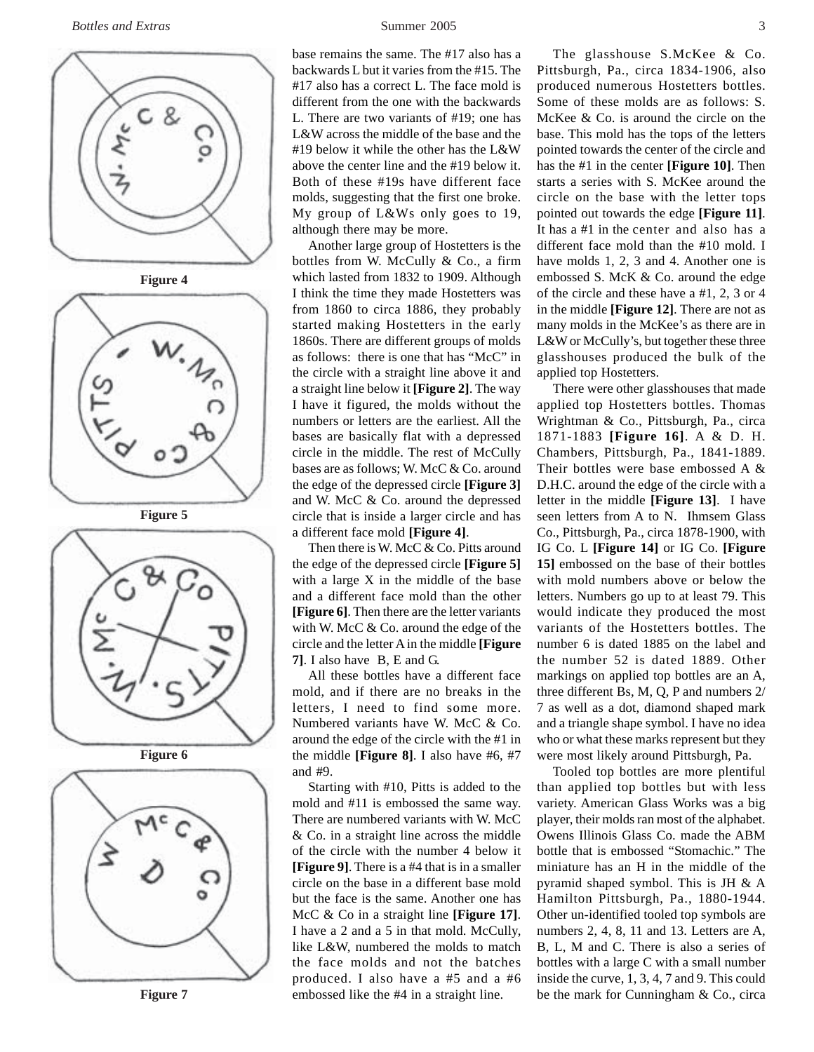



 **Figure 5**







 **Figure 7**

base remains the same. The #17 also has a backwards L but it varies from the #15. The #17 also has a correct L. The face mold is different from the one with the backwards L. There are two variants of #19; one has L&W across the middle of the base and the #19 below it while the other has the L&W above the center line and the #19 below it. Both of these #19s have different face molds, suggesting that the first one broke. My group of L&Ws only goes to 19, although there may be more.

Another large group of Hostetters is the bottles from W. McCully & Co., a firm which lasted from 1832 to 1909. Although I think the time they made Hostetters was from 1860 to circa 1886, they probably started making Hostetters in the early 1860s. There are different groups of molds as follows: there is one that has "McC" in the circle with a straight line above it and a straight line below it **[Figure 2]**. The way I have it figured, the molds without the numbers or letters are the earliest. All the bases are basically flat with a depressed circle in the middle. The rest of McCully bases are as follows; W. McC & Co. around the edge of the depressed circle **[Figure 3]** and W. McC & Co. around the depressed circle that is inside a larger circle and has a different face mold **[Figure 4]**.

Then there is W. McC & Co. Pitts around the edge of the depressed circle **[Figure 5]** with a large X in the middle of the base and a different face mold than the other **[Figure 6]**. Then there are the letter variants with W. McC & Co. around the edge of the circle and the letter A in the middle **[Figure 7]**. I also have B, E and G.

All these bottles have a different face mold, and if there are no breaks in the letters, I need to find some more. Numbered variants have W. McC & Co. around the edge of the circle with the #1 in the middle **[Figure 8]**. I also have #6, #7 and #9.

Starting with #10, Pitts is added to the mold and #11 is embossed the same way. There are numbered variants with W. McC & Co. in a straight line across the middle of the circle with the number 4 below it **[Figure 9]**. There is a #4 that is in a smaller circle on the base in a different base mold but the face is the same. Another one has McC & Co in a straight line **[Figure 17]**. I have a 2 and a 5 in that mold. McCully, like L&W, numbered the molds to match the face molds and not the batches produced. I also have a #5 and a #6 embossed like the #4 in a straight line.

The glasshouse S.McKee & Co. Pittsburgh, Pa., circa 1834-1906, also produced numerous Hostetters bottles. Some of these molds are as follows: S. McKee & Co. is around the circle on the base. This mold has the tops of the letters pointed towards the center of the circle and has the #1 in the center **[Figure 10]**. Then starts a series with S. McKee around the circle on the base with the letter tops pointed out towards the edge **[Figure 11]**. It has a #1 in the center and also has a different face mold than the #10 mold. I have molds 1, 2, 3 and 4. Another one is embossed S. McK & Co. around the edge of the circle and these have a #1, 2, 3 or 4 in the middle **[Figure 12]**. There are not as many molds in the McKee's as there are in L&W or McCully's, but together these three glasshouses produced the bulk of the applied top Hostetters.

There were other glasshouses that made applied top Hostetters bottles. Thomas Wrightman & Co., Pittsburgh, Pa., circa 1871-1883 **[Figure 16]**. A & D. H. Chambers, Pittsburgh, Pa., 1841-1889. Their bottles were base embossed A & D.H.C. around the edge of the circle with a letter in the middle **[Figure 13]**. I have seen letters from A to N. Ihmsem Glass Co., Pittsburgh, Pa., circa 1878-1900, with IG Co. L **[Figure 14]** or IG Co. **[Figure 15]** embossed on the base of their bottles with mold numbers above or below the letters. Numbers go up to at least 79. This would indicate they produced the most variants of the Hostetters bottles. The number 6 is dated 1885 on the label and the number 52 is dated 1889. Other markings on applied top bottles are an A, three different Bs, M, Q, P and numbers 2/ 7 as well as a dot, diamond shaped mark and a triangle shape symbol. I have no idea who or what these marks represent but they were most likely around Pittsburgh, Pa.

Tooled top bottles are more plentiful than applied top bottles but with less variety. American Glass Works was a big player, their molds ran most of the alphabet. Owens Illinois Glass Co. made the ABM bottle that is embossed "Stomachic." The miniature has an H in the middle of the pyramid shaped symbol. This is JH & A Hamilton Pittsburgh, Pa., 1880-1944. Other un-identified tooled top symbols are numbers 2, 4, 8, 11 and 13. Letters are A, B, L, M and C. There is also a series of bottles with a large C with a small number inside the curve, 1, 3, 4, 7 and 9. This could be the mark for Cunningham & Co., circa